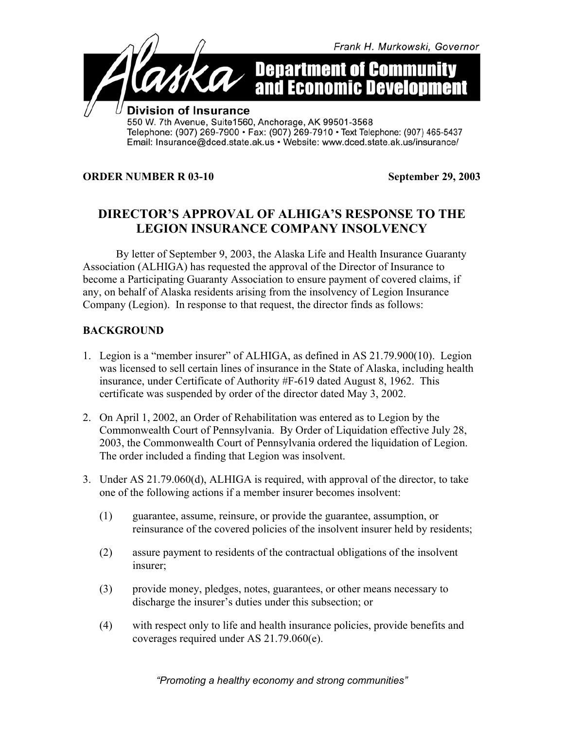

## **ORDER NUMBER R 03-10 September 29, 2003**

## **DIRECTOR'S APPROVAL OF ALHIGA'S RESPONSE TO THE LEGION INSURANCE COMPANY INSOLVENCY**

By letter of September 9, 2003, the Alaska Life and Health Insurance Guaranty Association (ALHIGA) has requested the approval of the Director of Insurance to become a Participating Guaranty Association to ensure payment of covered claims, if any, on behalf of Alaska residents arising from the insolvency of Legion Insurance Company (Legion). In response to that request, the director finds as follows:

## **BACKGROUND**

- 1. Legion is a "member insurer" of ALHIGA, as defined in AS 21.79.900(10). Legion was licensed to sell certain lines of insurance in the State of Alaska, including health insurance, under Certificate of Authority #F-619 dated August 8, 1962. This certificate was suspended by order of the director dated May 3, 2002.
- 2. On April 1, 2002, an Order of Rehabilitation was entered as to Legion by the Commonwealth Court of Pennsylvania. By Order of Liquidation effective July 28, 2003, the Commonwealth Court of Pennsylvania ordered the liquidation of Legion. The order included a finding that Legion was insolvent.
- 3. Under AS 21.79.060(d), ALHIGA is required, with approval of the director, to take one of the following actions if a member insurer becomes insolvent:
	- (1) guarantee, assume, reinsure, or provide the guarantee, assumption, or reinsurance of the covered policies of the insolvent insurer held by residents;
	- (2) assure payment to residents of the contractual obligations of the insolvent insurer;
	- (3) provide money, pledges, notes, guarantees, or other means necessary to discharge the insurer's duties under this subsection; or
	- (4) with respect only to life and health insurance policies, provide benefits and coverages required under AS 21.79.060(e).

*"Promoting a healthy economy and strong communities"*